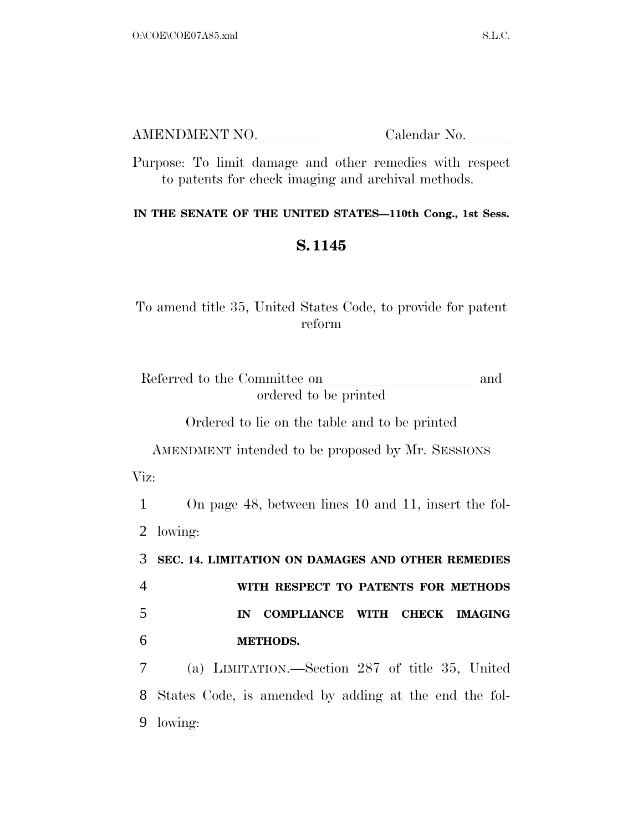| AMENDMENT NO. | Calendar No. |
|---------------|--------------|
|               |              |

Purpose: To limit damage and other remedies with respect to patents for check imaging and archival methods.

## **IN THE SENATE OF THE UNITED STATES—110th Cong., 1st Sess.**

## **S. 1145**

To amend title 35, United States Code, to provide for patent reform

Referred to the Committee on and ordered to be printed

Ordered to lie on the table and to be printed

AMENDMENT intended to be proposed by Mr. SESSIONS Viz:

1 On page 48, between lines 10 and 11, insert the fol-2 lowing:

 **SEC. 14. LIMITATION ON DAMAGES AND OTHER REMEDIES WITH RESPECT TO PATENTS FOR METHODS IN COMPLIANCE WITH CHECK IMAGING METHODS.** 

7 (a) LIMITATION.—Section 287 of title 35, United 8 States Code, is amended by adding at the end the fol-9 lowing: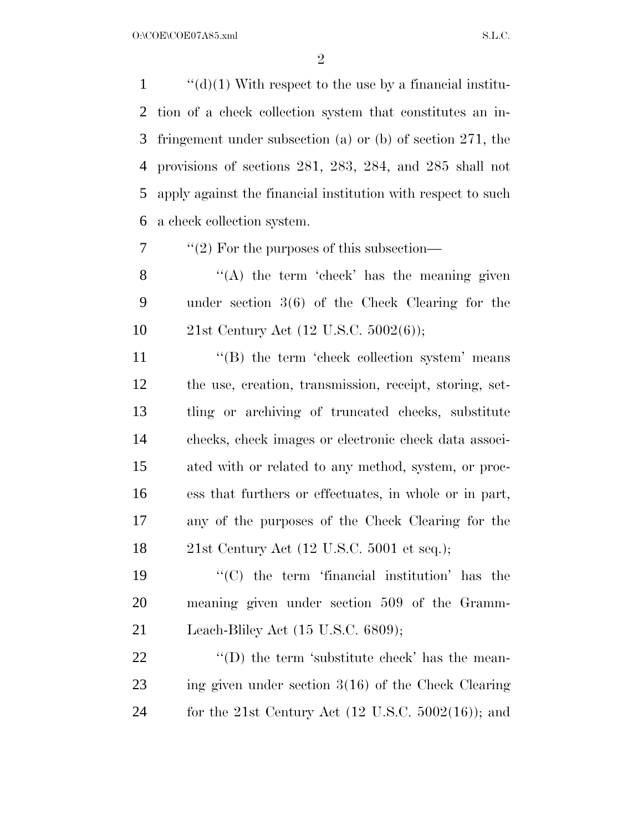$\langle \langle d \rangle (1)$  With respect to the use by a financial institu- tion of a check collection system that constitutes an in- fringement under subsection (a) or (b) of section 271, the provisions of sections 281, 283, 284, and 285 shall not apply against the financial institution with respect to such a check collection system.

''(2) For the purposes of this subsection—

8 "(A) the term 'check' has the meaning given under section 3(6) of the Check Clearing for the 21st Century Act (12 U.S.C. 5002(6));

11 ''(B) the term 'check collection system' means the use, creation, transmission, receipt, storing, set- tling or archiving of truncated checks, substitute checks, check images or electronic check data associ- ated with or related to any method, system, or proc- ess that furthers or effectuates, in whole or in part, any of the purposes of the Check Clearing for the 21st Century Act (12 U.S.C. 5001 et seq.);

19  $\langle ^{\prime}(C) \rangle$  the term 'financial institution' has the meaning given under section 509 of the Gramm-Leach-Bliley Act (15 U.S.C. 6809);

22  $\qquad$  ''(D) the term 'substitute check' has the mean- ing given under section 3(16) of the Check Clearing for the 21st Century Act (12 U.S.C. 5002(16)); and